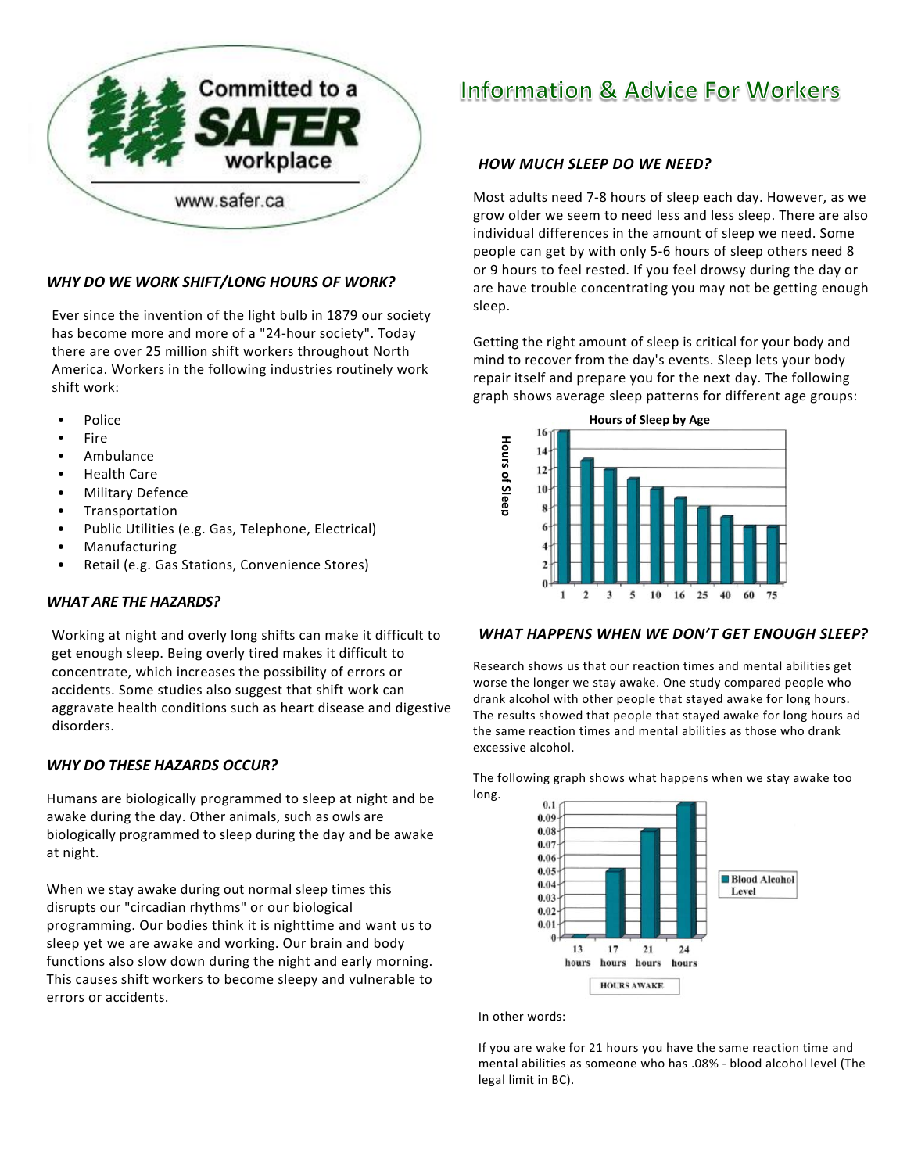

# *WHY DO WE WORK SHIFT/LONG HOURS OF WORK?*

Ever since the invention of the light bulb in 1879 our society has become more and more of a "24‐hour society". Today there are over 25 million shift workers throughout North America. Workers in the following industries routinely work shift work:

- Police
- Fire
- Ambulance
- Health Care
- Military Defence
- **Transportation**
- Public Utilities (e.g. Gas, Telephone, Electrical)
- **Manufacturing**
- Retail (e.g. Gas Stations, Convenience Stores)

## *WHAT ARE THE HAZARDS?*

Working at night and overly long shifts can make it difficult to get enough sleep. Being overly tired makes it difficult to concentrate, which increases the possibility of errors or accidents. Some studies also suggest that shift work can aggravate health conditions such as heart disease and digestive disorders.

# *WHY DO THESE HAZARDS OCCUR?*

Humans are biologically programmed to sleep at night and be awake during the day. Other animals, such as owls are biologically programmed to sleep during the day and be awake at night.

When we stay awake during out normal sleep times this disrupts our "circadian rhythms" or our biological programming. Our bodies think it is nighttime and want us to sleep yet we are awake and working. Our brain and body functions also slow down during the night and early morning. This causes shift workers to become sleepy and vulnerable to errors or accidents.

# **Information & Advice For Workers**

# *HOW MUCH SLEEP DO WE NEED?*

Most adults need 7‐8 hours of sleep each day. However, as we grow older we seem to need less and less sleep. There are also individual differences in the amount of sleep we need. Some people can get by with only 5‐6 hours of sleep others need 8 or 9 hours to feel rested. If you feel drowsy during the day or are have trouble concentrating you may not be getting enough sleep.

Getting the right amount of sleep is critical for your body and mind to recover from the day's events. Sleep lets your body repair itself and prepare you for the next day. The following graph shows average sleep patterns for different age groups:



## *WHAT HAPPENS WHEN WE DON'T GET ENOUGH SLEEP?*

Research shows us that our reaction times and mental abilities get worse the longer we stay awake. One study compared people who drank alcohol with other people that stayed awake for long hours. The results showed that people that stayed awake for long hours ad the same reaction times and mental abilities as those who drank excessive alcohol.

The following graph shows what happens when we stay awake too long.



In other words:

If you are wake for 21 hours you have the same reaction time and mental abilities as someone who has .08% ‐ blood alcohol level (The legal limit in BC).